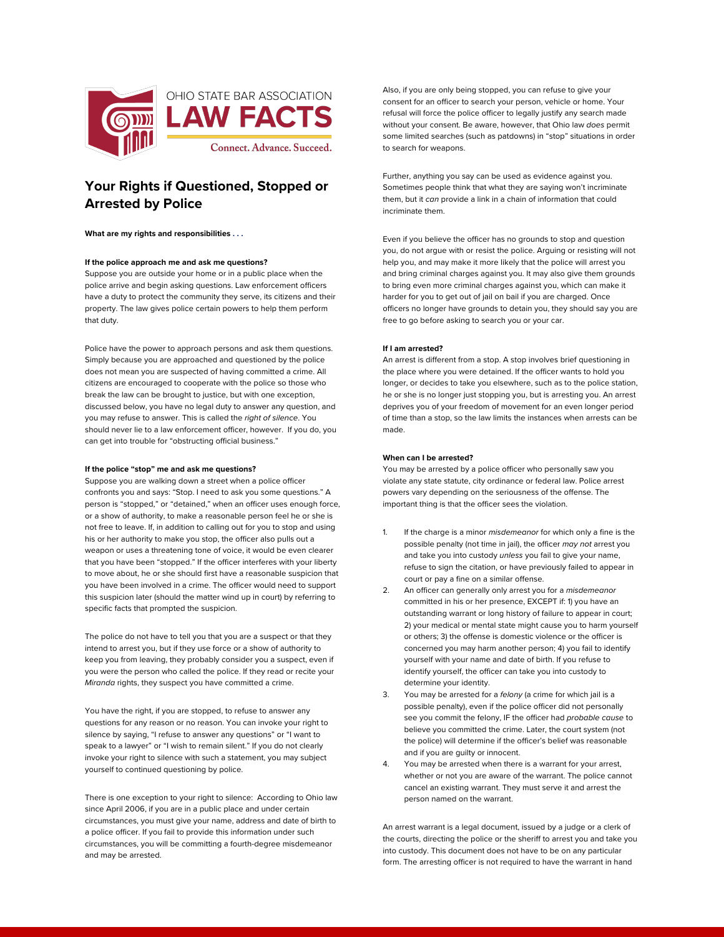

# **Your Rights if Questioned, Stopped or Arrested by Police**

**What are my rights and responsibilities . . .**

### **If the police approach me and ask me questions?**

Suppose you are outside your home or in a public place when the police arrive and begin asking questions. Law enforcement officers have a duty to protect the community they serve, its citizens and their property. The law gives police certain powers to help them perform that duty.

Police have the power to approach persons and ask them questions. Simply because you are approached and questioned by the police does not mean you are suspected of having committed a crime. All citizens are encouraged to cooperate with the police so those who break the law can be brought to justice, but with one exception, discussed below, you have no legal duty to answer any question, and you may refuse to answer. This is called the *right of silence*. You should never lie to a law enforcement officer, however. If you do, you can get into trouble for "obstructing official business."

## **If the police "stop" me and ask me questions?**

Suppose you are walking down a street when a police officer confronts you and says: "Stop. I need to ask you some questions." A person is "stopped," or "detained," when an officer uses enough force, or a show of authority, to make a reasonable person feel he or she is not free to leave. If, in addition to calling out for you to stop and using his or her authority to make you stop, the officer also pulls out a weapon or uses a threatening tone of voice, it would be even clearer that you have been "stopped." If the officer interferes with your liberty to move about, he or she should first have a reasonable suspicion that you have been involved in a crime. The officer would need to support this suspicion later (should the matter wind up in court) by referring to specific facts that prompted the suspicion.

The police do not have to tell you that you are a suspect or that they intend to arrest you, but if they use force or a show of authority to keep you from leaving, they probably consider you a suspect, even if you were the person who called the police. If they read or recite your *Miranda* rights, they suspect you have committed a crime.

You have the right, if you are stopped, to refuse to answer any questions for any reason or no reason. You can invoke your right to silence by saying, "I refuse to answer any questions" or "I want to speak to a lawyer" or "I wish to remain silent." If you do not clearly invoke your right to silence with such a statement, you may subject yourself to continued questioning by police.

There is one exception to your right to silence: According to Ohio law since April 2006, if you are in a public place and under certain circumstances, you must give your name, address and date of birth to a police officer. If you fail to provide this information under such circumstances, you will be committing a fourth-degree misdemeanor and may be arrested.

Also, if you are only being stopped, you can refuse to give your consent for an officer to search your person, vehicle or home. Your refusal will force the police officer to legally justify any search made without your consent. Be aware, however, that Ohio law *does* permit some limited searches (such as patdowns) in "stop" situations in order to search for weapons.

Further, anything you say can be used as evidence against you. Sometimes people think that what they are saying won't incriminate them, but it *can* provide a link in a chain of information that could incriminate them.

Even if you believe the officer has no grounds to stop and question you, do not argue with or resist the police. Arguing or resisting will not help you, and may make it more likely that the police will arrest you and bring criminal charges against you. It may also give them grounds to bring even more criminal charges against you, which can make it harder for you to get out of jail on bail if you are charged. Once officers no longer have grounds to detain you, they should say you are free to go before asking to search you or your car.

### **If I am arrested?**

An arrest is different from a stop. A stop involves brief questioning in the place where you were detained. If the officer wants to hold you longer, or decides to take you elsewhere, such as to the police station, he or she is no longer just stopping you, but is arresting you. An arrest deprives you of your freedom of movement for an even longer period of time than a stop, so the law limits the instances when arrests can be made.

### **When can I be arrested?**

You may be arrested by a police officer who personally saw you violate any state statute, city ordinance or federal law. Police arrest powers vary depending on the seriousness of the offense. The important thing is that the officer sees the violation.

- 1. If the charge is a minor *misdemeanor* for which only a fine is the possible penalty (not time in jail), the officer *may not* arrest you and take you into custody *unless* you fail to give your name, refuse to sign the citation, or have previously failed to appear in court or pay a fine on a similar offense.
- 2. An officer can generally only arrest you for a *misdemeanor*  committed in his or her presence, EXCEPT if: 1) you have an outstanding warrant or long history of failure to appear in court; 2) your medical or mental state might cause you to harm yourself or others; 3) the offense is domestic violence or the officer is concerned you may harm another person; 4) you fail to identify yourself with your name and date of birth. If you refuse to identify yourself, the officer can take you into custody to determine your identity.
- 3. You may be arrested for a *felony* (a crime for which jail is a possible penalty), even if the police officer did not personally see you commit the felony, IF the officer had *probable cause* to believe you committed the crime. Later, the court system (not the police) will determine if the officer's belief was reasonable and if you are guilty or innocent.
- 4. You may be arrested when there is a warrant for your arrest, whether or not you are aware of the warrant. The police cannot cancel an existing warrant. They must serve it and arrest the person named on the warrant.

An arrest warrant is a legal document, issued by a judge or a clerk of the courts, directing the police or the sheriff to arrest you and take you into custody. This document does not have to be on any particular form. The arresting officer is not required to have the warrant in hand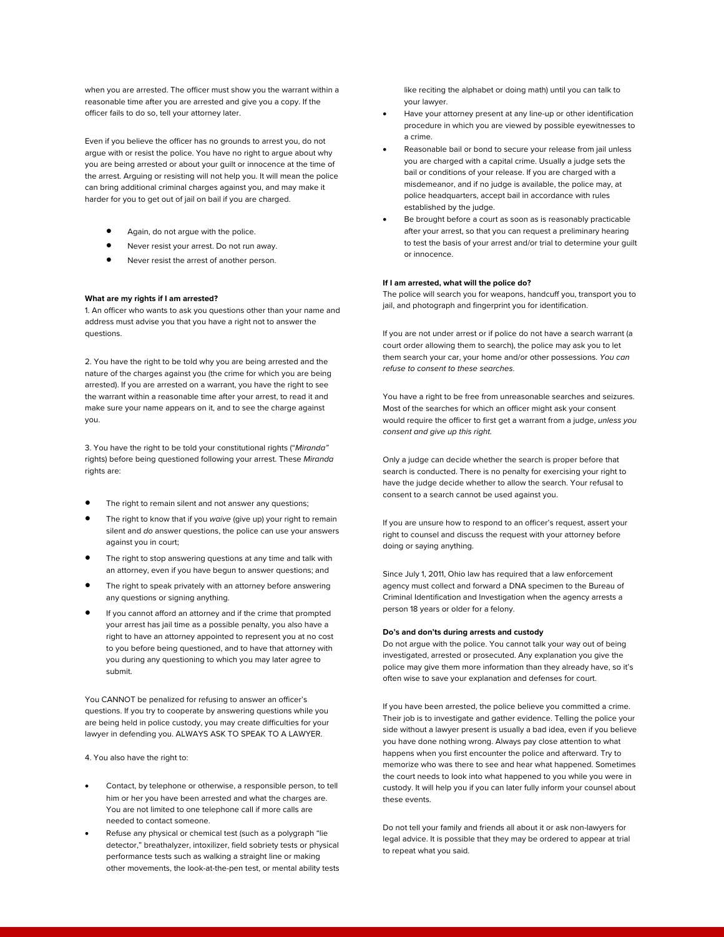when you are arrested. The officer must show you the warrant within a reasonable time after you are arrested and give you a copy. If the officer fails to do so, tell your attorney later.

Even if you believe the officer has no grounds to arrest you, do not argue with or resist the police. You have no right to argue about why you are being arrested or about your guilt or innocence at the time of the arrest. Arguing or resisting will not help you. It will mean the police can bring additional criminal charges against you, and may make it harder for you to get out of jail on bail if you are charged.

- Again, do not argue with the police.
- Never resist your arrest. Do not run away.
- Never resist the arrest of another person.

## **What are my rights if I am arrested?**

1. An officer who wants to ask you questions other than your name and address must advise you that you have a right not to answer the questions.

2. You have the right to be told why you are being arrested and the nature of the charges against you (the crime for which you are being arrested). If you are arrested on a warrant, you have the right to see the warrant within a reasonable time after your arrest, to read it and make sure your name appears on it, and to see the charge against you.

3. You have the right to be told your constitutional rights ("*Miranda"* rights) before being questioned following your arrest. These *Miranda*  rights are:

- The right to remain silent and not answer any questions;
- The right to know that if you *waive* (give up) your right to remain silent and *do* answer questions, the police can use your answers against you in court;
- The right to stop answering questions at any time and talk with an attorney, even if you have begun to answer questions; and
- The right to speak privately with an attorney before answering any questions or signing anything.
- If you cannot afford an attorney and if the crime that prompted your arrest has jail time as a possible penalty, you also have a right to have an attorney appointed to represent you at no cost to you before being questioned, and to have that attorney with you during any questioning to which you may later agree to submit.

You CANNOT be penalized for refusing to answer an officer's questions. If you try to cooperate by answering questions while you are being held in police custody, you may create difficulties for your lawyer in defending you. ALWAYS ASK TO SPEAK TO A LAWYER.

4. You also have the right to:

- Contact, by telephone or otherwise, a responsible person, to tell him or her you have been arrested and what the charges are. You are not limited to one telephone call if more calls are needed to contact someone.
- Refuse any physical or chemical test (such as a polygraph "lie detector," breathalyzer, intoxilizer, field sobriety tests or physical performance tests such as walking a straight line or making other movements, the look-at-the-pen test, or mental ability tests

like reciting the alphabet or doing math) until you can talk to your lawyer.

- Have your attorney present at any line-up or other identification procedure in which you are viewed by possible eyewitnesses to a crime.
- Reasonable bail or bond to secure your release from jail unless you are charged with a capital crime. Usually a judge sets the bail or conditions of your release. If you are charged with a misdemeanor, and if no judge is available, the police may, at police headquarters, accept bail in accordance with rules established by the judge.
- Be brought before a court as soon as is reasonably practicable after your arrest, so that you can request a preliminary hearing to test the basis of your arrest and/or trial to determine your guilt or innocence.

### **If I am arrested, what will the police do?**

The police will search you for weapons, handcuff you, transport you to jail, and photograph and fingerprint you for identification.

If you are not under arrest or if police do not have a search warrant (a court order allowing them to search), the police may ask you to let them search your car, your home and/or other possessions. *You can refuse to consent to these searches*.

You have a right to be free from unreasonable searches and seizures. Most of the searches for which an officer might ask your consent would require the officer to first get a warrant from a judge, *unless you consent and give up this right.*

Only a judge can decide whether the search is proper before that search is conducted. There is no penalty for exercising your right to have the judge decide whether to allow the search. Your refusal to consent to a search cannot be used against you.

If you are unsure how to respond to an officer's request, assert your right to counsel and discuss the request with your attorney before doing or saying anything.

Since July 1, 2011, Ohio law has required that a law enforcement agency must collect and forward a DNA specimen to the Bureau of Criminal Identification and Investigation when the agency arrests a person 18 years or older for a felony.

# **Do's and don'ts during arrests and custody**

Do not argue with the police. You cannot talk your way out of being investigated, arrested or prosecuted. Any explanation you give the police may give them more information than they already have, so it's often wise to save your explanation and defenses for court.

If you have been arrested, the police believe you committed a crime. Their job is to investigate and gather evidence. Telling the police your side without a lawyer present is usually a bad idea, even if you believe you have done nothing wrong. Always pay close attention to what happens when you first encounter the police and afterward. Try to memorize who was there to see and hear what happened. Sometimes the court needs to look into what happened to you while you were in custody. It will help you if you can later fully inform your counsel about these events.

Do not tell your family and friends all about it or ask non-lawyers for legal advice. It is possible that they may be ordered to appear at trial to repeat what you said.